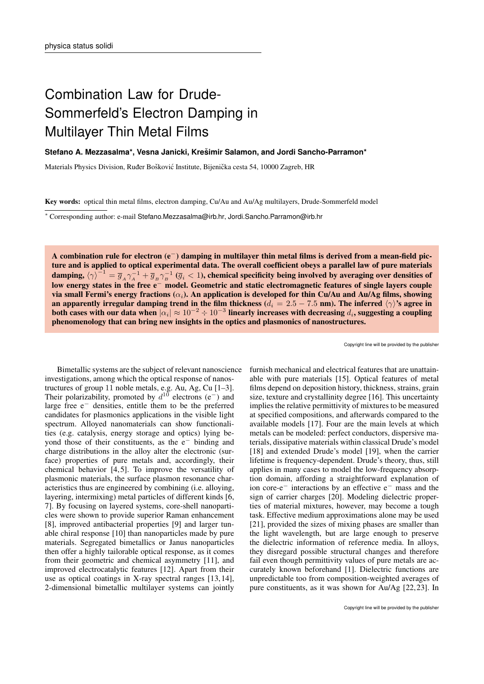## Combination Law for Drude-Sommerfeld's Electron Damping in Multilayer Thin Metal Films

## **Stefano A. Mezzasalma\*, Vesna Janicki, Kresimir Salamon, and Jordi Sancho-Parramon\* ˇ**

Materials Physics Division, Ruder Bošković Institute, Bijenička cesta 54, 10000 Zagreb, HR

Key words: optical thin metal films, electron damping, Cu/Au and Au/Ag multilayers, Drude-Sommerfeld model

<sup>∗</sup> Corresponding author: e-mail Stefano.Mezzasalma@irb.hr, Jordi.Sancho.Parramon@irb.hr

A combination rule for electron (e−) damping in multilayer thin metal films is derived from a mean-field picture and is applied to optical experimental data. The overall coefficient obeys a parallel law of pure materials damping,  $\langle\gamma\rangle^{-1}=\overline{g}_A\gamma_A^{-1}+\overline{g}_B\gamma_B^{-1}$  ( $\overline{g}_i< 1$ ), chemical specificity being involved by averaging over densities of low energy states in the free e<sup>−</sup> model. Geometric and static electromagnetic features of single layers couple via small Fermi's energy fractions  $(\alpha_i)$ . An application is developed for thin Cu/Au and Au/Ag films, showing an apparently irregular damping trend in the film thickness ( $d_i = 2.5 - 7.5$  nm). The inferred  $\langle \gamma \rangle$ 's agree in both cases with our data when  $|\alpha_i|\approx 10^{-2}\div 10^{-3}$  linearly increases with decreasing  $d_i$ , suggesting a coupling phenomenology that can bring new insights in the optics and plasmonics of nanostructures.

Copyright line will be provided by the publisher

Bimetallic systems are the subject of relevant nanoscience investigations, among which the optical response of nanostructures of group 11 noble metals, e.g. Au, Ag, Cu [1–3]. Their polarizability, promoted by  $d^{10}$  electrons (e<sup>-</sup>) and large free e<sup>−</sup> densities, entitle them to be the preferred candidates for plasmonics applications in the visible light spectrum. Alloyed nanomaterials can show functionalities (e.g. catalysis, energy storage and optics) lying beyond those of their constituents, as the e<sup>−</sup> binding and charge distributions in the alloy alter the electronic (surface) properties of pure metals and, accordingly, their chemical behavior  $[4, 5]$ . To improve the versatility of plasmonic materials, the surface plasmon resonance characteristics thus are engineered by combining (i.e. alloying, layering, intermixing) metal particles of different kinds [6, 7]. By focusing on layered systems, core-shell nanoparticles were shown to provide superior Raman enhancement [8], improved antibacterial properties [9] and larger tunable chiral response [10] than nanoparticles made by pure materials. Segregated bimetallics or Janus nanoparticles then offer a highly tailorable optical response, as it comes from their geometric and chemical asymmetry [11], and improved electrocatalytic features [12]. Apart from their use as optical coatings in X-ray spectral ranges [13, 14], 2-dimensional bimetallic multilayer systems can jointly

furnish mechanical and electrical features that are unattainable with pure materials [15]. Optical features of metal films depend on deposition history, thickness, strains, grain size, texture and crystallinity degree [16]. This uncertainty implies the relative permittivity of mixtures to be measured at specified compositions, and afterwards compared to the available models [17]. Four are the main levels at which metals can be modeled: perfect conductors, dispersive materials, dissipative materials within classical Drude's model [18] and extended Drude's model [19], when the carrier lifetime is frequency-dependent. Drude's theory, thus, still applies in many cases to model the low-frequency absorption domain, affording a straightforward explanation of ion core-e<sup>−</sup> interactions by an effective e<sup>−</sup> mass and the sign of carrier charges [20]. Modeling dielectric properties of material mixtures, however, may become a tough task. Effective medium approximations alone may be used [21], provided the sizes of mixing phases are smaller than the light wavelength, but are large enough to preserve the dielectric information of reference media. In alloys, they disregard possible structural changes and therefore fail even though permittivity values of pure metals are accurately known beforehand [1]. Dielectric functions are unpredictable too from composition-weighted averages of pure constituents, as it was shown for Au/Ag [22, 23]. In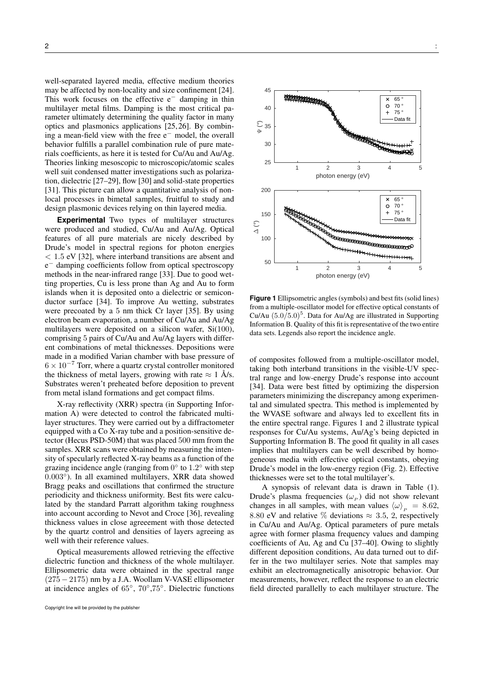well-separated layered media, effective medium theories may be affected by non-locality and size confinement [24]. This work focuses on the effective  $e^-$  damping in thin multilayer metal films. Damping is the most critical parameter ultimately determining the quality factor in many optics and plasmonics applications [25, 26]. By combining a mean-field view with the free e<sup>−</sup> model, the overall behavior fulfills a parallel combination rule of pure materials coefficients, as here it is tested for Cu/Au and Au/Ag. Theories linking mesoscopic to microscopic/atomic scales well suit condensed matter investigations such as polarization, dielectric [27–29], flow [30] and solid-state properties [31]. This picture can allow a quantitative analysis of nonlocal processes in bimetal samples, fruitful to study and design plasmonic devices relying on thin layered media.

**Experimental** Two types of multilayer structures were produced and studied, Cu/Au and Au/Ag. Optical features of all pure materials are nicely described by Drude's model in spectral regions for photon energies < 1.5 eV [32], where interband transitions are absent and e <sup>−</sup> damping coefficients follow from optical spectroscopy methods in the near-infrared range [33]. Due to good wetting properties, Cu is less prone than Ag and Au to form islands when it is deposited onto a dielectric or semiconductor surface [34]. To improve Au wetting, substrates were precoated by a 5 nm thick Cr layer [35]. By using electron beam evaporation, a number of Cu/Au and Au/Ag multilayers were deposited on a silicon wafer, Si(100), comprising 5 pairs of Cu/Au and Au/Ag layers with different combinations of metal thicknesses. Depositions were made in a modified Varian chamber with base pressure of  $6 \times 10^{-7}$  Torr, where a quartz crystal controller monitored the thickness of metal layers, growing with rate  $\approx 1$  Å/s. Substrates weren't preheated before deposition to prevent from metal island formations and get compact films.

X-ray reflectivity (XRR) spectra (in Supporting Information A) were detected to control the fabricated multilayer structures. They were carried out by a diffractometer equipped with a Co X-ray tube and a position-sensitive detector (Hecus PSD-50M) that was placed 500 mm from the samples. XRR scans were obtained by measuring the intensity of specularly reflected X-ray beams as a function of the grazing incidence angle (ranging from  $0^{\circ}$  to  $1.2^{\circ}$  with step 0.003°). In all examined multilayers, XRR data showed Bragg peaks and oscillations that confirmed the structure periodicity and thickness uniformity. Best fits were calculated by the standard Parratt algorithm taking roughness into account according to Nevot and Croce [36], revealing thickness values in close agreeement with those detected by the quartz control and densities of layers agreeing as well with their reference values.

Optical measurements allowed retrieving the effective dielectric function and thickness of the whole multilayer. Ellipsometric data were obtained in the spectral range  $(275 - 2175)$  nm by a J.A. Woollam V-VASE ellipsometer at incidence angles of 65°, 70°,75°. Dielectric functions





**Figure 1** Ellipsometric angles (symbols) and best fits (solid lines) from a multiple-oscillator model for effective optical constants of Cu/Au  $(5.0/5.0)^5$ . Data for Au/Ag are illustrated in Supporting Information B. Quality of this fit is representative of the two entire data sets. Legends also report the incidence angle.

of composites followed from a multiple-oscillator model, taking both interband transitions in the visible-UV spectral range and low-energy Drude's response into account [34]. Data were best fitted by optimizing the dispersion parameters minimizing the discrepancy among experimental and simulated spectra. This method is implemented by the WVASE software and always led to excellent fits in the entire spectral range. Figures 1 and 2 illustrate typical responses for Cu/Au systems, Au/Ag's being depicted in Supporting Information B. The good fit quality in all cases implies that multilayers can be well described by homogeneous media with effective optical constants, obeying Drude's model in the low-energy region (Fig. 2). Effective thicknesses were set to the total multilayer's.

A synopsis of relevant data is drawn in Table (1). Drude's plasma frequencies  $(\omega_P)$  did not show relevant changes in all samples, with mean values  $\langle \omega \rangle_p = 8.62$ , 8.80 eV and relative % deviations  $\approx 3.5, 2$ , respectively in Cu/Au and Au/Ag. Optical parameters of pure metals agree with former plasma frequency values and damping coefficients of Au, Ag and Cu [37–40]. Owing to slightly different deposition conditions, Au data turned out to differ in the two multilayer series. Note that samples may exhibit an electromagnetically anisotropic behavior. Our measurements, however, reflect the response to an electric field directed parallelly to each multilayer structure. The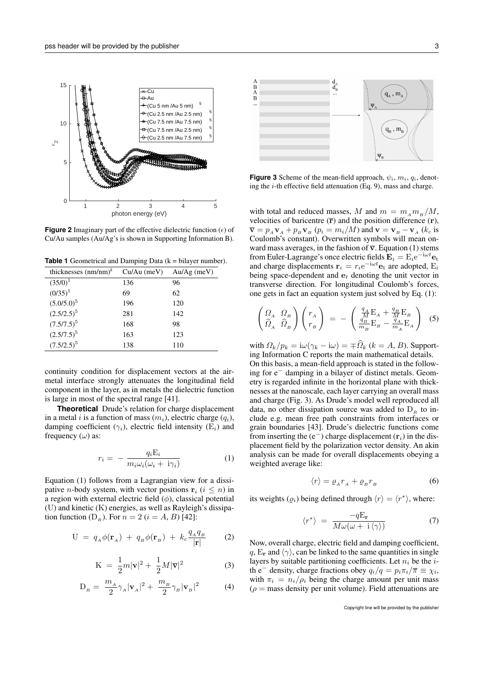

**Figure 2** Imaginary part of the effective dielectric function  $(\epsilon)$  of Cu/Au samples (Au/Ag's is shown in Supporting Information B).

**Table 1** Geometrical and Damping Data  $(k = \text{bilayer number})$ .

|     | $Au/Ag$ (meV)                             |
|-----|-------------------------------------------|
| 136 | 96                                        |
| 69  | 62                                        |
|     | 120                                       |
|     | 142                                       |
|     | 98                                        |
|     | 123                                       |
| 138 | 110                                       |
|     | $Cu/Au$ (meV)<br>196<br>281<br>168<br>163 |

continuity condition for displacement vectors at the airmetal interface strongly attenuates the longitudinal field component in the layer, as in metals the dielectric function is large in most of the spectral range [41].

**Theoretical** Drude's relation for charge displacement in a metal i is a function of mass  $(m_i)$ , electric charge  $(q_i)$ , damping coefficient ( $\gamma_i$ ), electric field intensity (E<sub>i</sub>) and frequency  $(\omega)$  as:

$$
r_i = -\frac{q_i \mathbf{E}_i}{m_i \omega_i (\omega_i + \mathbf{i}\gamma_i)}
$$
(1)

Equation (1) follows from a Lagrangian view for a dissipative *n*-body system, with vector positions  $\mathbf{r}_i$  ( $i \leq n$ ) in a region with external electric field  $(\phi)$ , classical potential (U) and kinetic (K) energies, as well as Rayleigh's dissipation function  $(D_R)$ . For  $n = 2$   $(i = A, B)$  [42]:

$$
U = q_A \phi(\mathbf{r}_A) + q_B \phi(\mathbf{r}_B) + k_c \frac{q_A q_B}{|\mathbf{r}|}
$$
 (2)

$$
K = \frac{1}{2}m|\mathbf{v}|^2 + \frac{1}{2}M|\overline{\mathbf{v}}|^2 \tag{3}
$$

$$
\mathcal{D}_R = \frac{m_A}{2} \gamma_A |\mathbf{v}_A|^2 + \frac{m_B}{2} \gamma_B |\mathbf{v}_B|^2 \tag{4}
$$



**Figure 3** Scheme of the mean-field approach,  $\psi_i$ ,  $m_i$ ,  $q_i$ , denoting the  $i$ -th effective field attenuation (Eq. 9), mass and charge.

with total and reduced masses, M and  $m = m_A m_B /M$ , velocities of baricentre  $(\bar{r})$  and the position difference  $(r)$ ,  $\overline{\mathbf{v}} = p_A \mathbf{v}_A + p_B \mathbf{v}_B$  ( $p_i = m_i/M$ ) and  $\mathbf{v} = \mathbf{v}_B - \mathbf{v}_A$  ( $k_c$  is Coulomb's constant). Overwritten symbols will mean onward mass averages, in the fashion of  $\overline{v}$ . Equation (1) stems from Euler-Lagrange's once electric fields  $\mathbf{E}_i = \mathrm{E}_i e^{-i\omega t} \mathbf{e}_t$ and charge displacements  $\mathbf{r}_i = r_i e^{-i\omega t} \mathbf{e}_t$  are adopted,  $E_i$ being space-dependent and  $e_t$  denoting the unit vector in transverse direction. For longitudinal Coulomb's forces, one gets in fact an equation system just solved by Eq. (1):

$$
\begin{pmatrix}\n\Omega_A & \Omega_B \\
\hat{\Omega}_A & \hat{\Omega}_B\n\end{pmatrix}\n\begin{pmatrix}\nr_A \\
r_B\n\end{pmatrix} = - \begin{pmatrix}\n\frac{q_A}{M}E_A + \frac{q_B}{M}E_B \\
\frac{q_B}{m_B}E_B - \frac{q_A}{m_A}E_A\n\end{pmatrix}
$$
\n(5)

with  $\Omega_k/p_k = \mathrm{i}\omega(\gamma_k - \mathrm{i}\omega) = \pm \hat{\Omega}_k$  ( $k = A, B$ ). Supporting Information C reports the main mathematical details. On this basis, a mean-field approach is stated in the follow-

ing for e<sup>−</sup> damping in a bilayer of distinct metals. Geometry is regarded infinite in the horizontal plane with thicknesses at the nanoscale, each layer carrying an overall mass and charge (Fig. 3). As Drude's model well reproduced all data, no other dissipation source was added to  $D<sub>p</sub>$  to include e.g. mean free path constraints from interfaces or grain boundaries [43]. Drude's dielectric functions come from inserting the (e<sup>-</sup>) charge displacement ( $\mathbf{r}_i$ ) in the displacement field by the polarization vector density. An akin analysis can be made for overall displacements obeying a weighted average like:

$$
\langle r \rangle = \varrho_A r_A + \varrho_B r_B \tag{6}
$$

its weights  $(\varrho_i)$  being defined through  $\langle r \rangle = \langle r^* \rangle$ , where:

$$
\langle r^* \rangle = \frac{-q \mathbf{E_r}}{M \omega(\omega + \mathbf{i} \langle \gamma \rangle)} \tag{7}
$$

Now, overall charge, electric field and damping coefficient, q,  $E_r$  and  $\langle \gamma \rangle$ , can be linked to the same quantities in single layers by suitable partitioning coefficients. Let  $n_i$  be the *i*th e<sup>-</sup> density, charge fractions obey  $q_i/q = p_i \pi_i/\overline{\pi} \equiv \chi_i$ , with  $\pi_i = n_i / \rho_i$  being the charge amount per unit mass  $(\rho = \text{mass density per unit volume})$ . Field attenuations are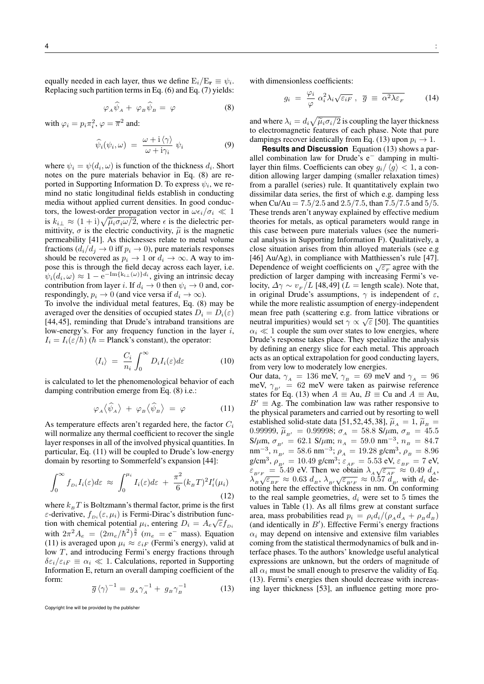equally needed in each layer, thus we define  $E_i/E_{\bf r} \equiv \psi_i$ . Replacing such partition terms in Eq. (6) and Eq. (7) yields:

$$
\varphi_A \widehat{\psi}_A + \varphi_B \widehat{\psi}_B = \varphi \tag{8}
$$

with  $\varphi_i = p_i \pi_i^2$ ,  $\varphi = \overline{\pi}^2$  and:

$$
\widehat{\psi}_i(\psi_i,\omega) = \frac{\omega + i \langle \gamma \rangle}{\omega + i \gamma_i} \psi_i \tag{9}
$$

where  $\psi_i = \psi(d_i, \omega)$  is function of the thickness  $d_i$ . Short notes on the pure materials behavior in Eq. (8) are reported in Supporting Information D. To express  $\psi_i$ , we remind no static longitudinal fields establish in conducting media without applied current densities. In good conductors, the lowest-order propagation vector in  $\omega \epsilon_i/\sigma_i \ll 1$ is  $k_{i\perp} \approx (1+i)\sqrt{\tilde{\mu}_i \sigma_i \omega/2}$ , where  $\epsilon$  is the dielectric per-<br>mittivity  $\sigma$  is the electric conductivity  $\tilde{\mu}$  is the magnetic mittivity,  $\sigma$  is the electric conductivity,  $\tilde{\mu}$  is the magnetic permeability [41]. As thicknesses relate to metal volume fractions  $(d_i/d_j \rightarrow 0$  iff  $p_i \rightarrow 0)$ , pure materials responses should be recovered as  $p_i \to 1$  or  $d_i \to \infty$ . A way to impose this is through the field decay across each layer, i.e.  $\psi_i(d_i, \omega) \approx 1 - e^{-\text{Im}\{k_{i\perp}(\omega)\} d_i}$ , giving an intrinsic decay contribution from layer i. If  $d_i \to 0$  then  $\psi_i \to 0$  and, correspondingly,  $p_i \rightarrow 0$  (and vice versa if  $d_i \rightarrow \infty$ ).

To involve the individual metal features, Eq. (8) may be averaged over the densities of occupied states  $D_i = D_i(\varepsilon)$ [44, 45], reminding that Drude's intraband transitions are low-energy's. For any frequency function in the layer  $i$ ,  $I_i = I_i(\varepsilon/\hbar)$  ( $\hbar$  = Planck's constant), the operator:

$$
\langle I_i \rangle = \frac{C_i}{n_i} \int_0^\infty D_i I_i(\varepsilon) d\varepsilon \tag{10}
$$

is calculated to let the phenomenological behavior of each damping contribution emerge from Eq. (8) i.e.:

$$
\varphi_A \langle \hat{\psi}_A \rangle + \varphi_B \langle \hat{\psi}_B \rangle = \varphi \tag{11}
$$

As temperature effects aren't regarded here, the factor  $C_i$ will normalize any thermal coefficient to recover the single layer responses in all of the involved physical quantities. In particular, Eq. (11) will be coupled to Drude's low-energy domain by resorting to Sommerfeld's expansion [44]:

$$
\int_0^\infty f_{D_i} I_i(\varepsilon) d\varepsilon \approx \int_0^{\mu_i} I_i(\varepsilon) d\varepsilon + \frac{\pi^2}{6} (k_B T)^2 I'_i(\mu_i)
$$
\n(12)

where  $k_BT$  is Boltzmann's thermal factor, prime is the first  $\varepsilon$ -derivative,  $f_{Di}(\varepsilon, \mu_i)$  is Fermi-Dirac's distribution function with chemical potential  $\mu_i$ , entering  $D_i = A_e \sqrt{\varepsilon} f_{Di}$ with  $2\pi^2 A_e = (2m_e/\hbar^2)^{\frac{3}{2}}$  ( $m_e = e^-$  mass). Equation (11) is averaged upon  $\mu_i \approx \varepsilon_{iF}$  (Fermi's energy), valid at low T, and introducing Fermi's energy fractions through  $\delta \varepsilon_i/\varepsilon_{iF} \equiv \alpha_i \ll 1$ . Calculations, reported in Supporting Information E, return an overall damping coefficient of the form:

$$
\overline{g}\left\langle \gamma\right\rangle ^{-1} = g_A \gamma_A^{-1} + g_B \gamma_B^{-1} \tag{13}
$$

with dimensionless coefficients:

$$
g_i = \frac{\varphi_i}{\varphi} \, \alpha_i^2 \lambda_i \sqrt{\varepsilon_{iF}} \; , \; \bar{g} \equiv \overline{\alpha^2 \lambda \varepsilon_F} \qquad (14)
$$

and where  $\lambda_i = d_i \sqrt{\tilde{\mu}_i \sigma_i/2}$  is coupling the layer thickness<br>to electromagnetic features of each phase. Note that pure to electromagnetic features of each phase. Note that pure dampings recover identically from Eq. (13) upon  $p_i \rightarrow 1$ .

**Results and Discussion** Equation (13) shows a parallel combination law for Drude's e<sup>−</sup> damping in multilayer thin films. Coefficients can obey  $g_i / \langle g \rangle < 1$ , a condition allowing larger damping (smaller relaxation times) from a parallel (series) rule. It quantitatively explain two dissimilar data series, the first of which e.g. damping less when Cu/Au =  $7.5/2.5$  and  $2.5/7.5$ , than  $7.5/7.5$  and  $5/5$ . These trends aren't anyway explained by effective medium theories for metals, as optical parameters would range in this case between pure materials values (see the numerical analysis in Supporting Information F). Qualitatively, a close situation arises from thin alloyed materials (see e.g [46] Au/Ag), in compliance with Matthiessen's rule [47]. Dependence of weight coefficients on  $\sqrt{\varepsilon_F}$  agree with the prediction of larger damping with increasing Fermi's velocity,  $\Delta \gamma \sim v_F/L$  [48,49] ( $L =$  length scale). Note that, in original Drude's assumptions,  $\gamma$  is independent of  $\varepsilon$ , while the more realistic assumption of energy-independent mean free path (scattering e.g. from lattice vibrations or neutral impurities) would set  $\gamma \propto \sqrt{\varepsilon}$  [50]. The quantities  $\alpha_i \ll 1$  couple the sum over states to low energies, where Drude's response takes place. They specialize the analysis by defining an energy slice for each metal. This approach acts as an optical extrapolation for good conducting layers, from very low to moderately low energies.

Our data,  $\gamma_A = 136$  meV,  $\gamma_B = 69$  meV and  $\gamma_A = 96$ meV,  $\gamma_{B'} = 62$  meV were taken as pairwise reference states for Eq. (13) when  $A \equiv Au$ ,  $B \equiv Cu$  and  $A \equiv Au$ ,  $B' \equiv Ag$ . The combination law was rather responsive to the physical parameters and carried out by resorting to well established solid-state data [51, 52, 45, 38],  $\tilde{\mu}_A = 1$ ,  $\tilde{\mu}_B =$ 0.99999,  $\tilde{\mu}_{B'} = 0.99998$ ;  $\sigma_A = 58.8 \text{ S/mm}$ ,  $\sigma_B = 45.5 \text{ S/mm}$ ,  $\sigma_{B'} = 62.1 \text{ S/mm}$ ;  $n_A = 59.0 \text{ nm}^{-3}$ ,  $n_B = 84.7 \text{ m}$ nm<sup>-3</sup>,  $n_{B'} = 58.6$  nm<sup>-3</sup>;  $\rho_A = 19.28$  g/cm<sup>3</sup>,  $\rho_B = 8.96$ g/cm<sup>3</sup>,  $\rho_{_{B'}} = 10.49$  g/cm<sup>3</sup>;  $\varepsilon_{_{AF}} = 5.53$  eV,  $\varepsilon_{_{BF}} = 7$  eV, given  $\beta_{B'} = 10.49$  given  $\beta_{AF} = 0.03$  eV,  $\varepsilon_{BF} = 7$  eV,<br> $\varepsilon_{B'F} = 5.49$  eV. Then we obtain  $\lambda_A \sqrt{\varepsilon_{AF}} \approx 0.49$   $d_A$ ,  $\lambda_B V_{\epsilon_{BF}}^{\epsilon_{B/F}} = 0.45$  CV. Then we obtain  $\lambda_A V_{\epsilon_{AF}}^{\epsilon_{AF}} \approx 0.45$   $\alpha_A$ ,<br> $\lambda_B V_{\epsilon_{BF}}^{\epsilon_{BF}} \approx 0.63$   $d_B$ ,  $\lambda_{B'} V_{\epsilon_{B'F}}^{\epsilon_{BF}} \approx 0.57$   $d_B$ , with  $d_i$  denoting here the effective thickness in nm. On conforming to the real sample geometries,  $d_i$  were set to 5 times the values in Table (1). As all films grew at constant surface area, mass probabilities read  $p_i = \rho_i d_i / (\rho_A d_A + \rho_B d_B)$ (and identically in  $B'$ ). Effective Fermi's energy fractions  $\alpha_i$  may depend on intensive and extensive film variables coming from the statistical thermodynamics of bulk and interface phases. To the authors' knowledge useful analytical expressions are unknown, but the orders of magnitude of all  $\alpha_i$  must be small enough to preserve the validity of Eq. (13). Fermi's energies then should decrease with increasing layer thickness [53], an influence getting more pro-

Copyright line will be provided by the publisher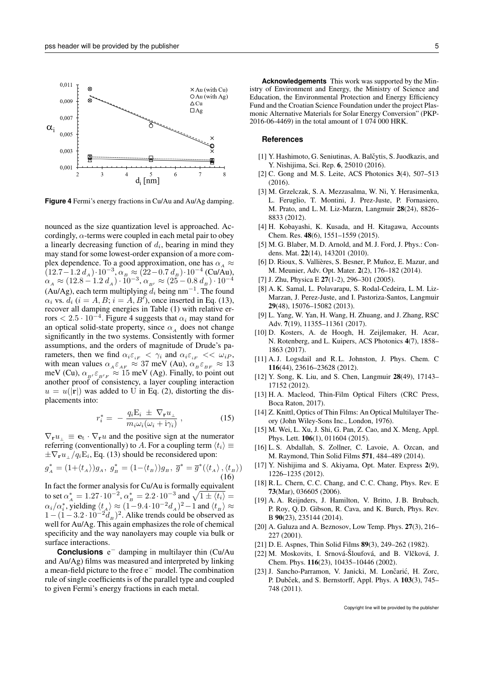

**Figure 4** Fermi's energy fractions in Cu/Au and Au/Ag damping.

nounced as the size quantization level is approached. Accordingly,  $\alpha$ -terms were coupled in each metal pair to obey a linearly decreasing function of  $d_i$ , bearing in mind they may stand for some lowest-order expansion of a more complex dependence. To a good approximation, one has  $\alpha_A \approx$  $(12.7-1.2 d_A) \cdot 10^{-3}, \alpha_B \approx (22-0.7 d_B) \cdot 10^{-4}$  (Cu/Au),  $\alpha_{_A} \approx (12.8-1.2~d_{_A})\cdot 10^{-3}, \alpha_{_{B'}} \approx (25-0.8~d_{_B})\cdot 10^{-4}$ (Au/Ag), each term multiplying  $d_i$  being nm<sup>-1</sup>. The found  $\alpha_i$  vs.  $d_i$  ( $i = A, B$ ;  $i = A, B'$ ), once inserted in Eq. (13), recover all damping energies in Table (1) with relative errors  $< 2.5 \cdot 10^{-4}$ . Figure 4 suggests that  $\alpha_i$  may stand for an optical solid-state property, since  $\alpha_A$  does not change significantly in the two systems. Consistently with former assumptions, and the orders of magnitude of Drude's parameters, then we find  $\alpha_i \varepsilon_{iF} < \gamma_i$  and  $\alpha_i \varepsilon_{iF} < \omega_{iP}$ , with mean values  $\alpha_A \varepsilon_{AF} \approx 37$  meV (Au),  $\alpha_B \varepsilon_{BF} \approx 13$ meV (Cu),  $\alpha_{B}E_{B'F} \approx 15$  meV (Ag). Finally, to point out another proof of consistency, a layer coupling interaction  $u = u(\bar{|\mathbf{r}|})$  was added to U in Eq. (2), distorting the displacements into:

$$
r_i^* = -\frac{q_i \mathbf{E}_i \pm \nabla_{\mathbf{r}} u_{\perp}}{m_i \omega_i (\omega_i + \mathbf{i}\gamma_i)}, \qquad (15)
$$

 $\nabla_{\mathbf{r}}u_{\perp} \equiv \mathbf{e}_{\mathrm{t}} \cdot \nabla_{\mathbf{r}}u$  and the positive sign at the numerator referring (conventionally) to A. For a coupling term  $\langle t_i \rangle \equiv$  $\pm \nabla_{\mathbf{r}} u_{\perp}/q_i \mathbf{E}_i$ , Eq. (13) should be reconsidered upon:

$$
g_A^* = (1 + \langle t_A \rangle) g_A, \ g_B^* = (1 - \langle t_B \rangle) g_B, \ \overline{g}^* = \overline{g}^*(\langle t_A \rangle, \langle t_B \rangle)
$$
\n(16)

In fact the former analysis for Cu/Au is formally equivalent to set  $\alpha_A^* = 1.27 \cdot 10^{-2}$ ,  $\alpha_B^* = 2.2 \cdot 10^{-3}$  and  $\sqrt{1 \pm \langle t_i \rangle} =$  $\alpha_i/\alpha_i^*$ , yielding  $\langle t_A \rangle \approx (1-9.4\cdot 10^{-2} d_A)^2 - 1$  and  $\langle t_B \rangle \approx$  $1-(1-3.2\cdot10^{-2}d_{B})^{2}$ . Alike trends could be observed as well for Au/Ag. This again emphasizes the role of chemical specificity and the way nanolayers may couple via bulk or surface interactions.

**Conclusions** e <sup>−</sup> damping in multilayer thin (Cu/Au and Au/Ag) films was measured and interpreted by linking a mean-field picture to the free e<sup>−</sup> model. The combination rule of single coefficients is of the parallel type and coupled to given Fermi's energy fractions in each metal.

**Acknowledgements** This work was supported by the Ministry of Environment and Energy, the Ministry of Science and Education, the Environmental Protection and Energy Efficiency Fund and the Croatian Science Foundation under the project Plasmonic Alternative Materials for Solar Energy Conversion" (PKP-2016-06-4469) in the total amount of 1 074 000 HRK.

## **References**

- [1] Y. Hashimoto, G. Seniutinas, A. Balčytis, S. Juodkazis, and Y. Nishijima, Sci. Rep. 6, 25010 (2016).
- [2] C. Gong and M. S. Leite, ACS Photonics 3(4), 507–513 (2016).
- [3] M. Grzelczak, S. A. Mezzasalma, W. Ni, Y. Herasimenka, L. Feruglio, T. Montini, J. Prez-Juste, P. Fornasiero, M. Prato, and L. M. Liz-Marzn, Langmuir 28(24), 8826– 8833 (2012).
- [4] H. Kobayashi, K. Kusada, and H. Kitagawa, Accounts Chem. Res. 48(6), 1551–1559 (2015).
- [5] M. G. Blaber, M. D. Arnold, and M. J. Ford, J. Phys.: Condens. Mat. 22(14), 143201 (2010).
- [6] D. Rioux, S. Vallières, S. Besner, P. Muñoz, E. Mazur, and M. Meunier, Adv. Opt. Mater. 2(2), 176–182 (2014).
- [7] J. Zhu, Physica E 27(1-2), 296-301 (2005).
- [8] A. K. Samal, L. Polavarapu, S. Rodal-Cedeira, L. M. Liz-Marzan, J. Perez-Juste, and I. Pastoriza-Santos, Langmuir 29(48), 15076–15082 (2013).
- [9] L. Yang, W. Yan, H. Wang, H. Zhuang, and J. Zhang, RSC Adv. 7(19), 11355–11361 (2017).
- [10] D. Kosters, A. de Hoogh, H. Zeijlemaker, H. Acar, N. Rotenberg, and L. Kuipers, ACS Photonics 4(7), 1858– 1863 (2017).
- [11] A. J. Logsdail and R. L. Johnston, J. Phys. Chem. C 116(44), 23616–23628 (2012).
- [12] Y. Song, K. Liu, and S. Chen, Langmuir 28(49), 17143– 17152 (2012).
- [13] H. A. Macleod, Thin-Film Optical Filters (CRC Press, Boca Raton, 2017).
- [14] Z. Knittl, Optics of Thin Films: An Optical Multilayer Theory (John Wiley-Sons Inc., London, 1976).
- [15] M. Wei, L. Xu, J. Shi, G. Pan, Z. Cao, and X. Meng, Appl. Phys. Lett. 106(1), 011604 (2015).
- [16] L. S. Abdallah, S. Zollner, C. Lavoie, A. Ozcan, and M. Raymond, Thin Solid Films 571, 484–489 (2014).
- [17] Y. Nishijima and S. Akiyama, Opt. Mater. Express 2(9), 1226–1235 (2012).
- [18] R. L. Chern, C. C. Chang, and C. C. Chang, Phys. Rev. E 73(Mar), 036605 (2006).
- [19] A. A. Reijnders, J. Hamilton, V. Britto, J. B. Brubach, P. Roy, Q. D. Gibson, R. Cava, and K. Burch, Phys. Rev. B 90(23), 235144 (2014).
- [20] A. Galuza and A. Beznosov, Low Temp. Phys. 27(3), 216– 227 (2001).
- [21] D. E. Aspnes, Thin Solid Films 89(3), 249–262 (1982).
- [22] M. Moskovits, I. Srnová-Šloufová, and B. Vlčková, J. Chem. Phys. 116(23), 10435–10446 (2002).
- [23] J. Sancho-Parramon, V. Janicki, M. Lončarić, H. Zorc, P. Dubček, and S. Bernstorff, Appl. Phys. A 103(3), 745– 748 (2011).